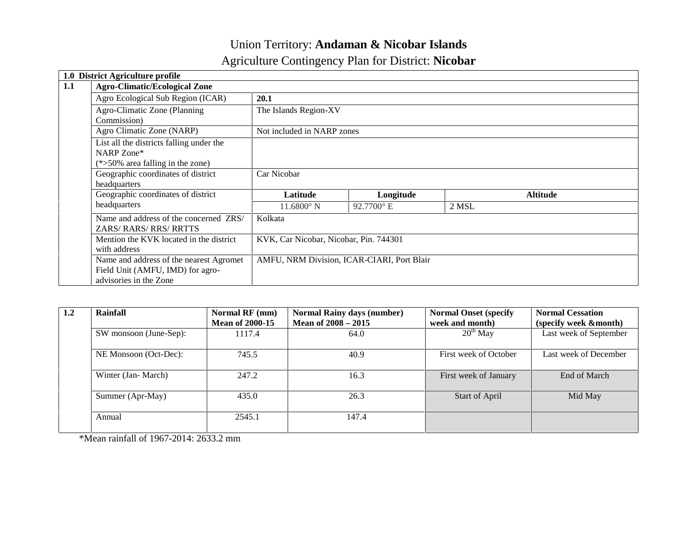## Union Territory: **Andaman & Nicobar Islands**

# Agriculture Contingency Plan for District: **Nicobar**

| 1.0 | <b>District Agriculture profile</b>      |                                        |                                            |       |                 |
|-----|------------------------------------------|----------------------------------------|--------------------------------------------|-------|-----------------|
| 1.1 | <b>Agro-Climatic/Ecological Zone</b>     |                                        |                                            |       |                 |
|     | Agro Ecological Sub Region (ICAR)        | 20.1                                   |                                            |       |                 |
|     | Agro-Climatic Zone (Planning             | The Islands Region-XV                  |                                            |       |                 |
|     | Commission)                              |                                        |                                            |       |                 |
|     | Agro Climatic Zone (NARP)                | Not included in NARP zones             |                                            |       |                 |
|     | List all the districts falling under the |                                        |                                            |       |                 |
|     | NARP Zone*                               |                                        |                                            |       |                 |
|     | $(*>50\%$ area falling in the zone)      |                                        |                                            |       |                 |
|     | Geographic coordinates of district       | Car Nicobar                            |                                            |       |                 |
|     | headquarters                             |                                        |                                            |       |                 |
|     | Geographic coordinates of district       | Latitude                               | Longitude                                  |       | <b>Altitude</b> |
|     | headquarters                             | $11.6800^{\circ}$ N                    | 92.7700° E                                 | 2 MSL |                 |
|     | Name and address of the concerned ZRS/   | Kolkata                                |                                            |       |                 |
|     | ZARS/RARS/RRS/RRTTS                      |                                        |                                            |       |                 |
|     | Mention the KVK located in the district  | KVK, Car Nicobar, Nicobar, Pin. 744301 |                                            |       |                 |
|     | with address                             |                                        |                                            |       |                 |
|     | Name and address of the nearest Agromet  |                                        | AMFU, NRM Division, ICAR-CIARI, Port Blair |       |                 |
|     | Field Unit (AMFU, IMD) for agro-         |                                        |                                            |       |                 |
|     | advisories in the Zone                   |                                        |                                            |       |                 |

| 1.2 | Rainfall               | Normal RF (mm)<br><b>Mean of 2000-15</b> | <b>Normal Rainy days (number)</b><br>Mean of $2008 - 2015$ | <b>Normal Onset (specify</b><br>week and month) | <b>Normal Cessation</b><br>(specify week &month) |
|-----|------------------------|------------------------------------------|------------------------------------------------------------|-------------------------------------------------|--------------------------------------------------|
|     | SW monsoon (June-Sep): | 1117.4                                   | 64.0                                                       | $20^{th}$ May                                   | Last week of September                           |
|     | NE Monsoon (Oct-Dec):  | 745.5                                    | 40.9                                                       | First week of October                           | Last week of December                            |
|     | Winter (Jan-March)     | 247.2                                    | 16.3                                                       | First week of January                           | End of March                                     |
|     | Summer (Apr-May)       | 435.0                                    | 26.3                                                       | Start of April                                  | Mid May                                          |
|     | Annual                 | 2545.1                                   | 147.4                                                      |                                                 |                                                  |

\*Mean rainfall of 1967-2014: 2633.2 mm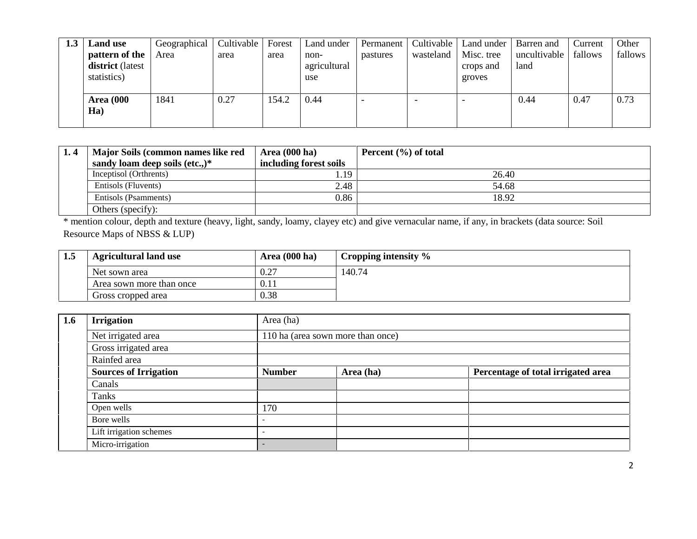| 1.3 | <b>Land use</b>                                   | Geographical | Cultivable | Forest | Land under                  | Permanent | Cultivable               | Land under                        | Barren and           | Current | Other   |
|-----|---------------------------------------------------|--------------|------------|--------|-----------------------------|-----------|--------------------------|-----------------------------------|----------------------|---------|---------|
|     | pattern of the<br>district (latest<br>statistics) | Area         | area       | area   | non-<br>agricultural<br>use | pastures  | wasteland                | Misc. tree<br>crops and<br>groves | uncultivable<br>land | fallows | fallows |
|     | <b>Area</b> (000<br>Ha)                           | 1841         | 0.27       | 154.2  | 0.44                        |           | $\overline{\phantom{0}}$ |                                   | 0.44                 | 0.47    | 0.73    |

| Major Soils (common names like red | <b>Area</b> (000 ha)   | Percent $(\% )$ of total |
|------------------------------------|------------------------|--------------------------|
| sandy loam deep soils (etc.,) $*$  | including forest soils |                          |
| Inceptisol (Orthrents)             | 1.19                   | 26.40                    |
| Entisols (Fluvents)                | 2.48                   | 54.68                    |
| Entisols (Psamments)               | 0.86                   | 18.92                    |
| Others (specify):                  |                        |                          |

\* mention colour, depth and texture (heavy, light, sandy, loamy, clayey etc) and give vernacular name, if any, in brackets (data source: Soil Resource Maps of NBSS & LUP)

| 1.5 | <b>Agricultural land use</b> | Area $(000 \text{ ha})$ | Cropping intensity $\%$ |
|-----|------------------------------|-------------------------|-------------------------|
|     | Net sown area                | 0.27                    | 140.74                  |
|     | Area sown more than once     | 0.11                    |                         |
|     | Gross cropped area           | 0.38                    |                         |

| 1.6 | <b>Irrigation</b>            | Area (ha)                |                                   |                                    |  |  |  |  |  |
|-----|------------------------------|--------------------------|-----------------------------------|------------------------------------|--|--|--|--|--|
|     | Net irrigated area           |                          | 110 ha (area sown more than once) |                                    |  |  |  |  |  |
|     | Gross irrigated area         |                          |                                   |                                    |  |  |  |  |  |
|     | Rainfed area                 |                          |                                   |                                    |  |  |  |  |  |
|     | <b>Sources of Irrigation</b> | <b>Number</b>            | Area (ha)                         | Percentage of total irrigated area |  |  |  |  |  |
|     | Canals                       |                          |                                   |                                    |  |  |  |  |  |
|     | Tanks                        |                          |                                   |                                    |  |  |  |  |  |
|     | Open wells                   | 170                      |                                   |                                    |  |  |  |  |  |
|     | Bore wells                   |                          |                                   |                                    |  |  |  |  |  |
|     | Lift irrigation schemes      | $\overline{\phantom{a}}$ |                                   |                                    |  |  |  |  |  |
|     | Micro-irrigation             |                          |                                   |                                    |  |  |  |  |  |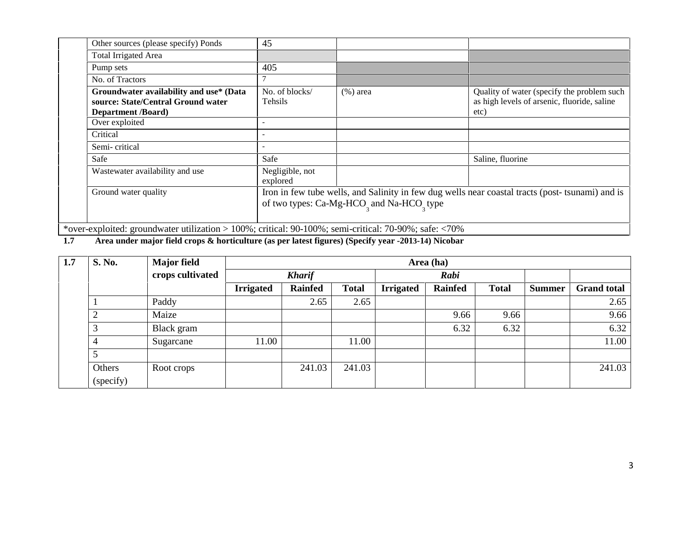| Other sources (please specify) Ponds                                                                                                | 45                          |                                                                   |                                                                                                   |
|-------------------------------------------------------------------------------------------------------------------------------------|-----------------------------|-------------------------------------------------------------------|---------------------------------------------------------------------------------------------------|
| Total Irrigated Area                                                                                                                |                             |                                                                   |                                                                                                   |
| Pump sets                                                                                                                           | 405                         |                                                                   |                                                                                                   |
| No. of Tractors                                                                                                                     |                             |                                                                   |                                                                                                   |
| Groundwater availability and use* (Data<br>source: State/Central Ground water<br><b>Department</b> /Board)                          | No. of blocks/<br>Tehsils   | $(\%)$ area                                                       | Quality of water (specify the problem such<br>as high levels of arsenic, fluoride, saline<br>etc) |
| Over exploited                                                                                                                      |                             |                                                                   |                                                                                                   |
| Critical                                                                                                                            |                             |                                                                   |                                                                                                   |
| Semi-critical                                                                                                                       |                             |                                                                   |                                                                                                   |
| Safe                                                                                                                                | Safe                        |                                                                   | Saline, fluorine                                                                                  |
| Wastewater availability and use                                                                                                     | Negligible, not<br>explored |                                                                   |                                                                                                   |
| Ground water quality                                                                                                                |                             | of two types: Ca-Mg-HCO <sub>2</sub> and Na-HCO <sub>2</sub> type | Iron in few tube wells, and Salinity in few dug wells near coastal tracts (post-tsunami) and is   |
| *over-exploited: groundwater utilization > $100\%$ ; critical: $90-100\%$ ; semi-critical: $70-90\%$ ; safe: $\langle 70\% \rangle$ |                             |                                                                   |                                                                                                   |

**1.7 Area under major field crops & horticulture (as per latest figures) (Specify year -2013-14) Nicobar**

| 1.7 | S. No.              | <b>Major field</b> | Area (ha)        |                |              |                  |                |              |               |                    |
|-----|---------------------|--------------------|------------------|----------------|--------------|------------------|----------------|--------------|---------------|--------------------|
|     |                     | crops cultivated   | <b>Kharif</b>    |                | Rabi         |                  |                |              |               |                    |
|     |                     |                    | <b>Irrigated</b> | <b>Rainfed</b> | <b>Total</b> | <b>Irrigated</b> | <b>Rainfed</b> | <b>Total</b> | <b>Summer</b> | <b>Grand total</b> |
|     |                     | Paddy              |                  | 2.65           | 2.65         |                  |                |              |               | 2.65               |
|     | $\overline{2}$      | Maize              |                  |                |              |                  | 9.66           | 9.66         |               | 9.66               |
|     | 3                   | Black gram         |                  |                |              |                  | 6.32           | 6.32         |               | 6.32               |
|     | 4                   | Sugarcane          | 11.00            |                | 11.00        |                  |                |              |               | 11.00              |
|     | 5                   |                    |                  |                |              |                  |                |              |               |                    |
|     | Others<br>(specify) | Root crops         |                  | 241.03         | 241.03       |                  |                |              |               | 241.03             |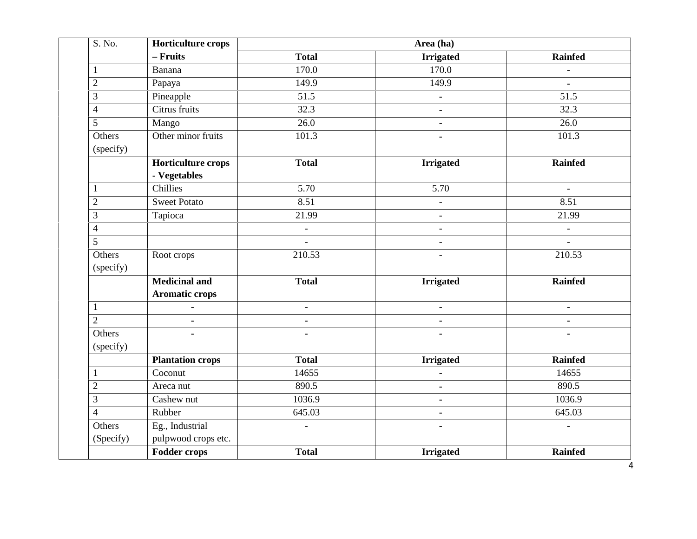| S. No.              | <b>Horticulture crops</b> | Area (ha)                |                          |                |  |  |  |  |  |
|---------------------|---------------------------|--------------------------|--------------------------|----------------|--|--|--|--|--|
|                     | - Fruits                  | <b>Total</b>             | <b>Irrigated</b>         | <b>Rainfed</b> |  |  |  |  |  |
| 1                   | Banana                    | 170.0                    | 170.0                    | $\blacksquare$ |  |  |  |  |  |
| $\sqrt{2}$          | Papaya                    | 149.9                    | 149.9                    | $\blacksquare$ |  |  |  |  |  |
| 3                   | Pineapple                 | 51.5                     | ÷.                       | 51.5           |  |  |  |  |  |
| $\overline{4}$      | Citrus fruits             | 32.3                     | ۰                        | 32.3           |  |  |  |  |  |
| 5                   | Mango                     | 26.0                     | ٠                        | 26.0           |  |  |  |  |  |
| Others<br>(specify) | Other minor fruits        | 101.3                    |                          | 101.3          |  |  |  |  |  |
|                     | Horticulture crops        | <b>Total</b>             | <b>Irrigated</b>         | <b>Rainfed</b> |  |  |  |  |  |
|                     | - Vegetables              |                          |                          |                |  |  |  |  |  |
| 1                   | Chillies                  | $\overline{5.70}$        | $\overline{5.70}$        |                |  |  |  |  |  |
| $\overline{2}$      | <b>Sweet Potato</b>       | 8.51                     | $\overline{\phantom{a}}$ | 8.51           |  |  |  |  |  |
| 3                   | Tapioca                   | 21.99                    | $\overline{\phantom{a}}$ | 21.99          |  |  |  |  |  |
| $\overline{4}$      |                           | $\overline{\phantom{a}}$ | $\overline{\phantom{a}}$ | $\blacksquare$ |  |  |  |  |  |
| 5                   |                           | $\overline{a}$           | $\overline{\phantom{a}}$ | $\blacksquare$ |  |  |  |  |  |
| Others<br>(specify) | Root crops                | 210.53                   |                          | 210.53         |  |  |  |  |  |
|                     | <b>Medicinal and</b>      | <b>Total</b>             | <b>Irrigated</b>         | <b>Rainfed</b> |  |  |  |  |  |
|                     | <b>Aromatic crops</b>     |                          |                          |                |  |  |  |  |  |
| $\mathbf{1}$        | $\blacksquare$            | $\blacksquare$           | ٠                        | $\blacksquare$ |  |  |  |  |  |
| $\overline{2}$      | $\blacksquare$            | $\blacksquare$           | ۰.                       | $\blacksquare$ |  |  |  |  |  |
| Others              |                           |                          |                          |                |  |  |  |  |  |
| (specify)           |                           |                          |                          |                |  |  |  |  |  |
|                     | <b>Plantation crops</b>   | <b>Total</b>             | <b>Irrigated</b>         | <b>Rainfed</b> |  |  |  |  |  |
| 1                   | Coconut                   | 14655                    | ÷                        | 14655          |  |  |  |  |  |
| $\overline{2}$      | Areca nut                 | 890.5                    | ٠                        | 890.5          |  |  |  |  |  |
| 3                   | Cashew nut                | 1036.9                   | ٠                        | 1036.9         |  |  |  |  |  |
| $\overline{4}$      | Rubber                    | 645.03                   | ۰.                       | 645.03         |  |  |  |  |  |
| Others              | Eg., Industrial           |                          |                          |                |  |  |  |  |  |
| (Specify)           | pulpwood crops etc.       |                          |                          |                |  |  |  |  |  |
|                     | <b>Fodder crops</b>       | <b>Total</b>             | <b>Irrigated</b>         | <b>Rainfed</b> |  |  |  |  |  |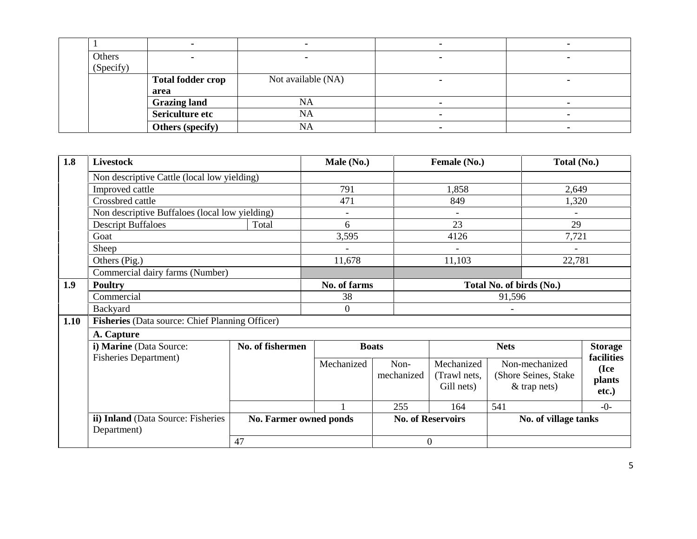| Others    |                          |                    |  |
|-----------|--------------------------|--------------------|--|
| (Specify) |                          |                    |  |
|           | <b>Total fodder crop</b> | Not available (NA) |  |
|           | area                     |                    |  |
|           | <b>Grazing land</b>      | NA                 |  |
|           | Sericulture etc          | NA                 |  |
|           | Others (specify)         | NA                 |  |

| 1.8  | <b>Livestock</b>                                  |                        | Male (No.)     |                    | Female (No.)                             | Total (No.)                                              |                                       |
|------|---------------------------------------------------|------------------------|----------------|--------------------|------------------------------------------|----------------------------------------------------------|---------------------------------------|
|      | Non descriptive Cattle (local low yielding)       |                        |                |                    |                                          |                                                          |                                       |
|      | Improved cattle                                   |                        | 791            |                    | 1,858                                    | 2,649                                                    |                                       |
|      | Crossbred cattle                                  |                        | 471            |                    | 849                                      | 1,320                                                    |                                       |
|      | Non descriptive Buffaloes (local low yielding)    |                        | $\blacksquare$ |                    | $\overline{a}$                           |                                                          |                                       |
|      | <b>Descript Buffaloes</b>                         | Total                  | 6              |                    | 23                                       | 29                                                       |                                       |
|      | Goat                                              |                        | 3,595          |                    | 4126                                     | 7,721                                                    |                                       |
|      | Sheep                                             |                        |                |                    |                                          |                                                          |                                       |
|      | Others (Pig.)                                     |                        | 11,678         |                    | 11,103                                   | 22,781                                                   |                                       |
|      | Commercial dairy farms (Number)                   |                        |                |                    |                                          |                                                          |                                       |
| 1.9  | <b>Poultry</b>                                    |                        | No. of farms   |                    | Total No. of birds (No.)                 |                                                          |                                       |
|      | Commercial                                        |                        | 38             |                    | 91,596                                   |                                                          |                                       |
|      | Backyard                                          |                        | $\overline{0}$ |                    | $\blacksquare$                           |                                                          |                                       |
| 1.10 | Fisheries (Data source: Chief Planning Officer)   |                        |                |                    |                                          |                                                          |                                       |
|      | A. Capture                                        |                        |                |                    |                                          |                                                          |                                       |
|      | i) Marine (Data Source:                           | No. of fishermen       |                | <b>Boats</b>       |                                          | <b>Nets</b>                                              | <b>Storage</b>                        |
|      | <b>Fisheries Department)</b>                      |                        | Mechanized     | Non-<br>mechanized | Mechanized<br>(Trawl nets,<br>Gill nets) | Non-mechanized<br>(Shore Seines, Stake<br>$&$ trap nets) | facilities<br>(Ice<br>plants<br>etc.) |
|      |                                                   |                        |                | 255                | 164                                      | 541                                                      | $-0-$                                 |
|      | ii) Inland (Data Source: Fisheries<br>Department) | No. Farmer owned ponds |                |                    | <b>No. of Reservoirs</b>                 | No. of village tanks                                     |                                       |
|      |                                                   | 47                     |                | $\boldsymbol{0}$   |                                          |                                                          |                                       |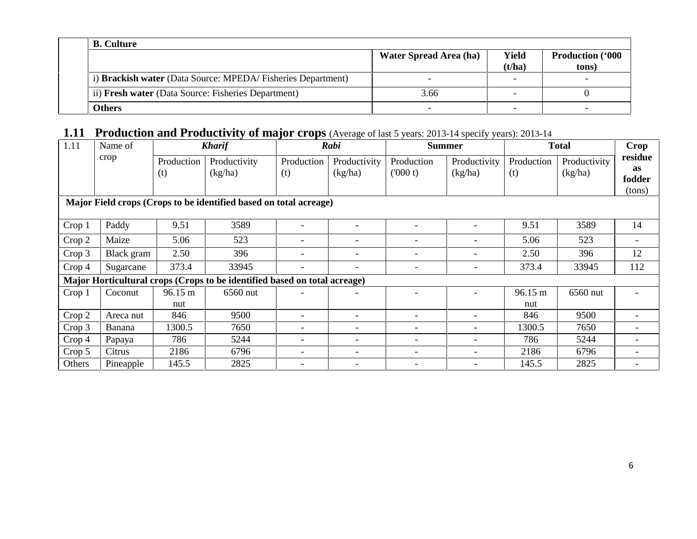| <b>B.</b> Culture                                           |                               |                 |                                   |
|-------------------------------------------------------------|-------------------------------|-----------------|-----------------------------------|
|                                                             | <b>Water Spread Area (ha)</b> | Yield<br>(t/ha) | <b>Production ('000)</b><br>tons) |
| i) Brackish water (Data Source: MPEDA/Fisheries Department) |                               |                 |                                   |
| ii) Fresh water (Data Source: Fisheries Department)         | 3.66                          |                 |                                   |
| Others                                                      |                               |                 |                                   |

## **1.11 Production and Productivity of major crops** (Average of last 5 years: 2013-14 specify years): 2013-14

| 1.11   | Name of    |                   | <b>Kharif</b>                                                             |                          | Rabi                         | <b>Summer</b>            |                          |                   | <b>Total</b>            | Crop                                     |
|--------|------------|-------------------|---------------------------------------------------------------------------|--------------------------|------------------------------|--------------------------|--------------------------|-------------------|-------------------------|------------------------------------------|
|        | crop       | Production<br>(t) | Productivity<br>(kg/ha)                                                   | Production<br>(t)        | Productivity<br>(kg/ha)      | Production<br>(000 t)    | Productivity<br>(kg/ha)  | Production<br>(t) | Productivity<br>(kg/ha) | residue<br><b>as</b><br>fodder<br>(tons) |
|        |            |                   | Major Field crops (Crops to be identified based on total acreage)         |                          |                              |                          |                          |                   |                         |                                          |
| Crop 1 | Paddy      | 9.51              | 3589                                                                      |                          | $\overline{\phantom{0}}$     |                          |                          | 9.51              | 3589                    | 14                                       |
| Crop 2 | Maize      | 5.06              | 523                                                                       | $\overline{\phantom{a}}$ | $\qquad \qquad \blacksquare$ | $\overline{\phantom{a}}$ | $\overline{\phantom{a}}$ | 5.06              | 523                     |                                          |
| Crop 3 | Black gram | 2.50              | 396                                                                       |                          | $\overline{\phantom{0}}$     |                          |                          | 2.50              | 396                     | 12                                       |
| Crop 4 | Sugarcane  | 373.4             | 33945                                                                     |                          | $\qquad \qquad \blacksquare$ |                          | $\overline{\phantom{a}}$ | 373.4             | 33945                   | 112                                      |
|        |            |                   | Major Horticultural crops (Crops to be identified based on total acreage) |                          |                              |                          |                          |                   |                         |                                          |
| Crop 1 | Coconut    | 96.15 m           | 6560 nut                                                                  |                          |                              |                          |                          | 96.15 m           | 6560 nut                |                                          |
|        |            | nut               |                                                                           |                          |                              |                          |                          | nut               |                         |                                          |
| Crop 2 | Areca nut  | 846               | 9500                                                                      |                          | $\overline{\phantom{0}}$     | $\overline{\phantom{0}}$ |                          | 846               | 9500                    |                                          |
| Crop 3 | Banana     | 1300.5            | 7650                                                                      | $\qquad \qquad -$        | $\qquad \qquad \blacksquare$ | $\overline{\phantom{0}}$ |                          | 1300.5            | 7650                    |                                          |
| Crop 4 | Papaya     | 786               | 5244                                                                      | $\qquad \qquad -$        | $\overline{\phantom{0}}$     | $\overline{\phantom{0}}$ |                          | 786               | 5244                    |                                          |
| Crop 5 | Citrus     | 2186              | 6796                                                                      | -                        | -                            | $\overline{\phantom{a}}$ |                          | 2186              | 6796                    |                                          |
| Others | Pineapple  | 145.5             | 2825                                                                      |                          | $\overline{\phantom{0}}$     |                          |                          | 145.5             | 2825                    |                                          |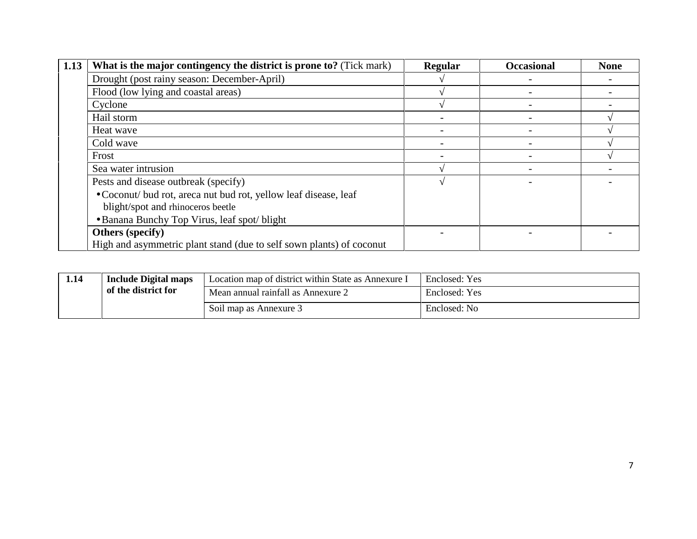| 1.13 | What is the major contingency the district is prone to? (Tick mark)  | Regular | <b>Occasional</b> | <b>None</b> |
|------|----------------------------------------------------------------------|---------|-------------------|-------------|
|      | Drought (post rainy season: December-April)                          |         |                   |             |
|      | Flood (low lying and coastal areas)                                  |         |                   |             |
|      | Cyclone                                                              |         |                   |             |
|      | Hail storm                                                           |         |                   |             |
|      | Heat wave                                                            |         |                   |             |
|      | Cold wave                                                            |         |                   |             |
|      | Frost                                                                |         |                   |             |
|      | Sea water intrusion                                                  |         |                   |             |
|      | Pests and disease outbreak (specify)                                 |         |                   |             |
|      | • Coconut/ bud rot, areca nut bud rot, yellow leaf disease, leaf     |         |                   |             |
|      | blight/spot and rhinoceros beetle                                    |         |                   |             |
|      | • Banana Bunchy Top Virus, leaf spot/blight                          |         |                   |             |
|      | <b>Others</b> (specify)                                              |         |                   |             |
|      | High and asymmetric plant stand (due to self sown plants) of coconut |         |                   |             |

| 1.14 | <b>Include Digital maps</b> | Location map of district within State as Annexure I | Enclosed: Yes |
|------|-----------------------------|-----------------------------------------------------|---------------|
|      | of the district for         | Mean annual rainfall as Annexure 2                  | Enclosed: Yes |
|      |                             | Soil map as Annexure 3                              | Enclosed: No  |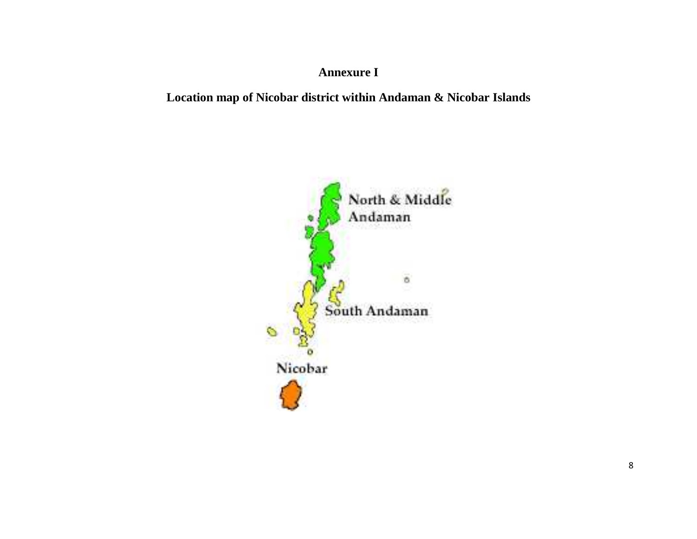## **Annexure I**

## **Location map of Nicobar district within Andaman & Nicobar Islands**

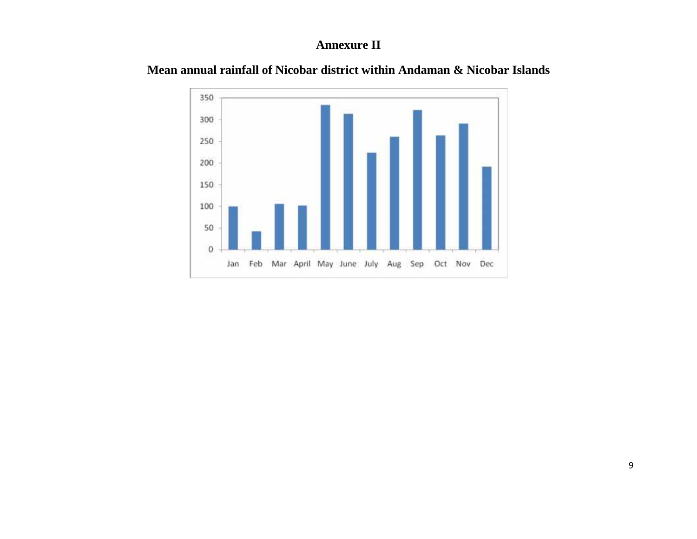### **Annexure II**



**Mean annual rainfall of Nicobar district within Andaman & Nicobar Islands**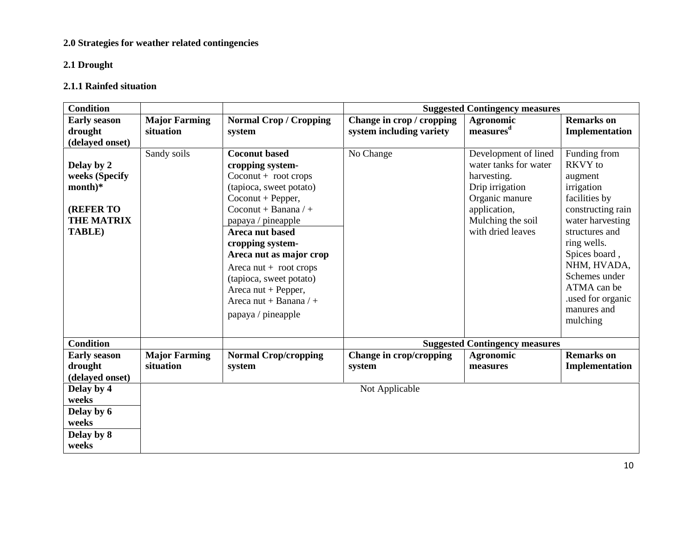#### **2.0 Strategies for weather related contingencies**

#### **2.1 Drought**

#### **2.1.1 Rainfed situation**

| <b>Condition</b>    |                      |                                      |                           | <b>Suggested Contingency measures</b> |                   |
|---------------------|----------------------|--------------------------------------|---------------------------|---------------------------------------|-------------------|
| <b>Early season</b> | <b>Major Farming</b> | <b>Normal Crop / Cropping</b>        | Change in crop / cropping | <b>Agronomic</b>                      | <b>Remarks</b> on |
| drought             | situation            | system                               | system including variety  | measures <sup>d</sup>                 | Implementation    |
| (delayed onset)     |                      |                                      |                           |                                       |                   |
|                     | Sandy soils          | <b>Coconut based</b>                 | No Change                 | Development of lined                  | Funding from      |
| Delay by 2          |                      | cropping system-                     |                           | water tanks for water                 | <b>RKVY</b> to    |
| weeks (Specify      |                      | $Co\text{count} + \text{root crops}$ |                           | harvesting.                           | augment           |
| $month)*$           |                      | (tapioca, sweet potato)              |                           | Drip irrigation                       | irrigation        |
|                     |                      | $Co\text{count} + Pepper,$           |                           | Organic manure                        | facilities by     |
| <b>(REFER TO</b>    |                      | Coconut + Banana / +                 |                           | application,                          | constructing rain |
| <b>THE MATRIX</b>   |                      | papaya / pineapple                   |                           | Mulching the soil                     | water harvesting  |
| <b>TABLE</b> )      |                      | Areca nut based                      |                           | with dried leaves                     | structures and    |
|                     |                      | cropping system-                     |                           |                                       | ring wells.       |
|                     |                      | Areca nut as major crop              |                           |                                       | Spices board,     |
|                     |                      | Areca $nut + root$                   |                           |                                       | NHM, HVADA,       |
|                     |                      | (tapioca, sweet potato)              |                           |                                       | Schemes under     |
|                     |                      | Areca nut + Pepper,                  |                           |                                       | ATMA can be       |
|                     |                      | Areca nut + Banana $/ +$             |                           |                                       | used for organic  |
|                     |                      | papaya / pineapple                   |                           |                                       | manures and       |
|                     |                      |                                      |                           |                                       | mulching          |
| <b>Condition</b>    |                      |                                      |                           | <b>Suggested Contingency measures</b> |                   |
| <b>Early season</b> | <b>Major Farming</b> | <b>Normal Crop/cropping</b>          | Change in crop/cropping   | <b>Agronomic</b>                      | <b>Remarks</b> on |
| drought             | situation            | system                               | system                    | measures                              | Implementation    |
| (delayed onset)     |                      |                                      |                           |                                       |                   |
| Delay by 4          |                      |                                      | Not Applicable            |                                       |                   |
| weeks               |                      |                                      |                           |                                       |                   |
| Delay by 6          |                      |                                      |                           |                                       |                   |
| weeks               |                      |                                      |                           |                                       |                   |
|                     |                      |                                      |                           |                                       |                   |
| Delay by 8          |                      |                                      |                           |                                       |                   |
| weeks               |                      |                                      |                           |                                       |                   |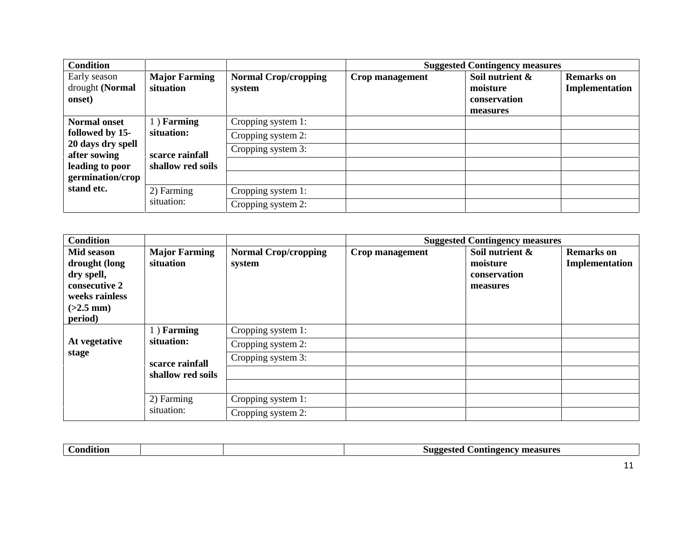| <b>Condition</b>                                                                                                   |                                                                  |                                                                | <b>Suggested Contingency measures</b>                   |                                     |
|--------------------------------------------------------------------------------------------------------------------|------------------------------------------------------------------|----------------------------------------------------------------|---------------------------------------------------------|-------------------------------------|
| Early season<br>drought (Normal<br>onset)                                                                          | <b>Major Farming</b><br>situation                                | <b>Normal Crop/cropping</b><br>Crop management<br>system       | Soil nutrient &<br>moisture<br>conservation<br>measures | <b>Remarks</b> on<br>Implementation |
| <b>Normal onset</b><br>followed by 15-<br>20 days dry spell<br>after sowing<br>leading to poor<br>germination/crop | 1) Farming<br>situation:<br>scarce rainfall<br>shallow red soils | Cropping system 1:<br>Cropping system 2:<br>Cropping system 3: |                                                         |                                     |
| stand etc.                                                                                                         | 2) Farming<br>situation:                                         | Cropping system 1:<br>Cropping system 2:                       |                                                         |                                     |

| <b>Condition</b>                                                                                       |                                      |                                          |                 | <b>Suggested Contingency measures</b>                   |                                     |
|--------------------------------------------------------------------------------------------------------|--------------------------------------|------------------------------------------|-----------------|---------------------------------------------------------|-------------------------------------|
| Mid season<br>drought (long<br>dry spell,<br>consecutive 2<br>weeks rainless<br>$(>2.5$ mm)<br>period) | <b>Major Farming</b><br>situation    | <b>Normal Crop/cropping</b><br>system    | Crop management | Soil nutrient &<br>moisture<br>conservation<br>measures | <b>Remarks</b> on<br>Implementation |
| At vegetative                                                                                          | $1)$ Farming<br>situation:           | Cropping system 1:<br>Cropping system 2: |                 |                                                         |                                     |
| stage                                                                                                  | scarce rainfall<br>shallow red soils | Cropping system 3:                       |                 |                                                         |                                     |
|                                                                                                        | 2) Farming<br>situation:             | Cropping system 1:                       |                 |                                                         |                                     |
|                                                                                                        |                                      | Cropping system 2:                       |                 |                                                         |                                     |

| $\sim$<br>`onditioi |  | measures<br>Dontingency |
|---------------------|--|-------------------------|
|                     |  |                         |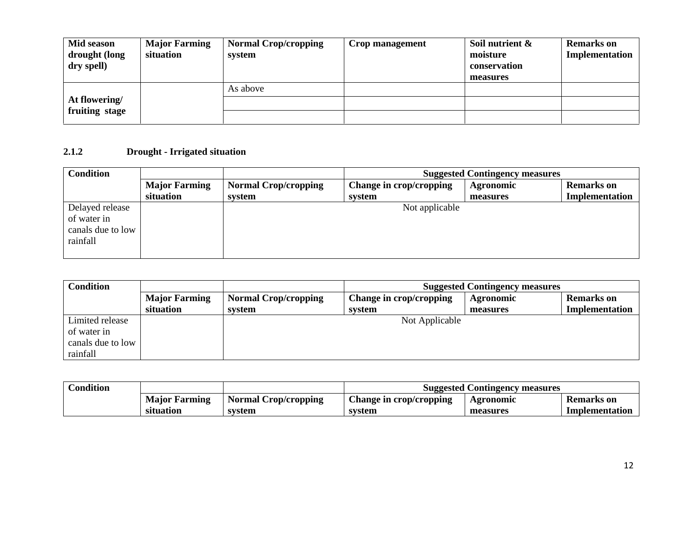| Mid season<br>drought (long<br>dry spell) | <b>Major Farming</b><br>situation | <b>Normal Crop/cropping</b><br>system | Crop management | Soil nutrient &<br>moisture<br>conservation<br>measures | <b>Remarks</b> on<br>Implementation |
|-------------------------------------------|-----------------------------------|---------------------------------------|-----------------|---------------------------------------------------------|-------------------------------------|
|                                           |                                   | As above                              |                 |                                                         |                                     |
| At flowering/<br>fruiting stage           |                                   |                                       |                 |                                                         |                                     |

#### **2.1.2 Drought - Irrigated situation**

| <b>Condition</b>  |                      |                             |                         | <b>Suggested Contingency measures</b> |                   |
|-------------------|----------------------|-----------------------------|-------------------------|---------------------------------------|-------------------|
|                   | <b>Major Farming</b> | <b>Normal Crop/cropping</b> | Change in crop/cropping | Agronomic                             | <b>Remarks</b> on |
|                   | situation            | system                      | system                  | measures                              | Implementation    |
| Delayed release   |                      |                             | Not applicable          |                                       |                   |
| of water in       |                      |                             |                         |                                       |                   |
| canals due to low |                      |                             |                         |                                       |                   |
| rainfall          |                      |                             |                         |                                       |                   |
|                   |                      |                             |                         |                                       |                   |

| <b>Condition</b>  | <b>Suggested Contingency measures</b> |                             |                         |                  |                   |
|-------------------|---------------------------------------|-----------------------------|-------------------------|------------------|-------------------|
|                   | <b>Major Farming</b>                  | <b>Normal Crop/cropping</b> | Change in crop/cropping | <b>Agronomic</b> | <b>Remarks</b> on |
|                   | situation                             | system                      | system                  | measures         | Implementation    |
| Limited release   |                                       |                             | Not Applicable          |                  |                   |
| of water in       |                                       |                             |                         |                  |                   |
| canals due to low |                                       |                             |                         |                  |                   |
| rainfall          |                                       |                             |                         |                  |                   |

| <b>Condition</b> |                      |                             | Suggested Contingency measures |           |                   |  |
|------------------|----------------------|-----------------------------|--------------------------------|-----------|-------------------|--|
|                  | <b>Major Farming</b> | <b>Normal Crop/cropping</b> | Change in crop/cropping        | Agronomic | <b>Remarks</b> on |  |
|                  | situation            | svstem                      | system                         | measures  | Implementation    |  |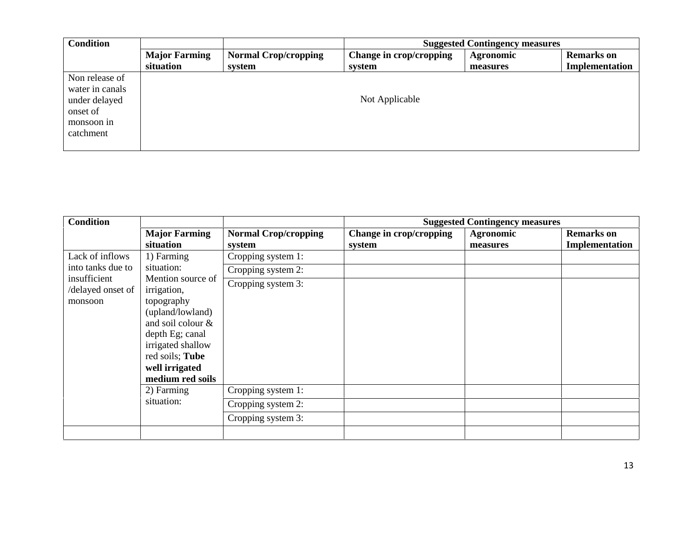| <b>Condition</b> |                      |                             | <b>Suggested Contingency measures</b> |           |                   |  |
|------------------|----------------------|-----------------------------|---------------------------------------|-----------|-------------------|--|
|                  | <b>Major Farming</b> | <b>Normal Crop/cropping</b> | Change in crop/cropping               | Agronomic | <b>Remarks</b> on |  |
|                  | situation            | system                      | system                                | measures  | Implementation    |  |
| Non release of   |                      |                             |                                       |           |                   |  |
| water in canals  |                      |                             |                                       |           |                   |  |
| under delayed    |                      |                             | Not Applicable                        |           |                   |  |
| onset of         |                      |                             |                                       |           |                   |  |
| monsoon in       |                      |                             |                                       |           |                   |  |
| catchment        |                      |                             |                                       |           |                   |  |
|                  |                      |                             |                                       |           |                   |  |

| <b>Condition</b>                             |                                                                                                                                                                                          |                                       | <b>Suggested Contingency measures</b> |                              |                                            |
|----------------------------------------------|------------------------------------------------------------------------------------------------------------------------------------------------------------------------------------------|---------------------------------------|---------------------------------------|------------------------------|--------------------------------------------|
|                                              | <b>Major Farming</b><br>situation                                                                                                                                                        | <b>Normal Crop/cropping</b><br>system | Change in crop/cropping<br>system     | <b>Agronomic</b><br>measures | <b>Remarks</b> on<br><b>Implementation</b> |
| Lack of inflows                              | 1) Farming                                                                                                                                                                               | Cropping system 1:                    |                                       |                              |                                            |
| into tanks due to                            | situation:                                                                                                                                                                               | Cropping system 2:                    |                                       |                              |                                            |
| insufficient<br>/delayed onset of<br>monsoon | Mention source of<br>irrigation,<br>topography<br>(upland/lowland)<br>and soil colour &<br>depth Eg; canal<br>irrigated shallow<br>red soils; Tube<br>well irrigated<br>medium red soils | Cropping system 3:                    |                                       |                              |                                            |
|                                              | 2) Farming                                                                                                                                                                               | Cropping system 1:                    |                                       |                              |                                            |
|                                              | situation:                                                                                                                                                                               | Cropping system 2:                    |                                       |                              |                                            |
|                                              |                                                                                                                                                                                          | Cropping system 3:                    |                                       |                              |                                            |
|                                              |                                                                                                                                                                                          |                                       |                                       |                              |                                            |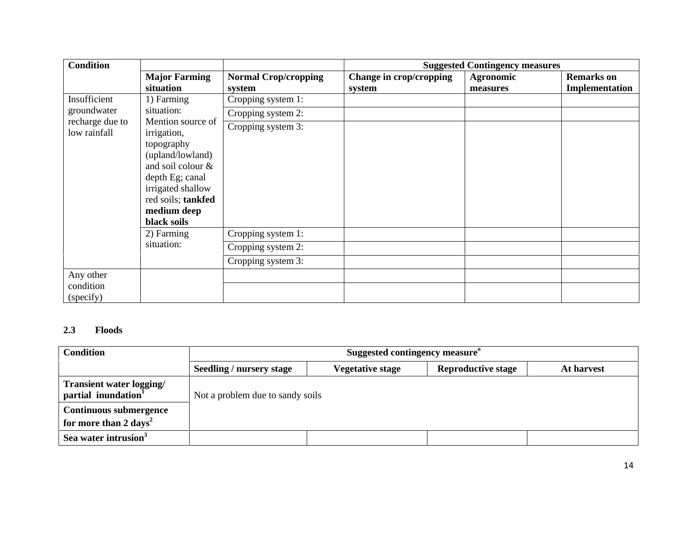| <b>Condition</b>                    |                                                                                                                                                                                     |                                       | <b>Suggested Contingency measures</b> |                              |                                     |
|-------------------------------------|-------------------------------------------------------------------------------------------------------------------------------------------------------------------------------------|---------------------------------------|---------------------------------------|------------------------------|-------------------------------------|
|                                     | <b>Major Farming</b><br>situation                                                                                                                                                   | <b>Normal Crop/cropping</b><br>system | Change in crop/cropping<br>system     | <b>Agronomic</b><br>measures | <b>Remarks</b> on<br>Implementation |
| Insufficient                        | 1) Farming                                                                                                                                                                          | Cropping system 1:                    |                                       |                              |                                     |
| groundwater                         | situation:                                                                                                                                                                          | Cropping system 2:                    |                                       |                              |                                     |
| recharge due to<br>low rainfall     | Mention source of<br>irrigation,<br>topography<br>(upland/lowland)<br>and soil colour &<br>depth Eg; canal<br>irrigated shallow<br>red soils; tankfed<br>medium deep<br>black soils | Cropping system 3:                    |                                       |                              |                                     |
|                                     | 2) Farming                                                                                                                                                                          | Cropping system 1:                    |                                       |                              |                                     |
|                                     | situation:                                                                                                                                                                          | Cropping system 2:                    |                                       |                              |                                     |
|                                     |                                                                                                                                                                                     | Cropping system 3:                    |                                       |                              |                                     |
| Any other<br>condition<br>(specify) |                                                                                                                                                                                     |                                       |                                       |                              |                                     |

#### **2.3 Floods**

| <b>Condition</b>                                            | Suggested contingency measure <sup>o</sup> |                  |                           |            |  |  |
|-------------------------------------------------------------|--------------------------------------------|------------------|---------------------------|------------|--|--|
|                                                             | Seedling / nursery stage                   | Vegetative stage | <b>Reproductive stage</b> | At harvest |  |  |
| Transient water logging/<br>partial inundation <sup>1</sup> | Not a problem due to sandy soils           |                  |                           |            |  |  |
| <b>Continuous submergence</b>                               |                                            |                  |                           |            |  |  |
| for more than $2 \text{ days}^2$                            |                                            |                  |                           |            |  |  |
| Sea water intrusion <sup>3</sup>                            |                                            |                  |                           |            |  |  |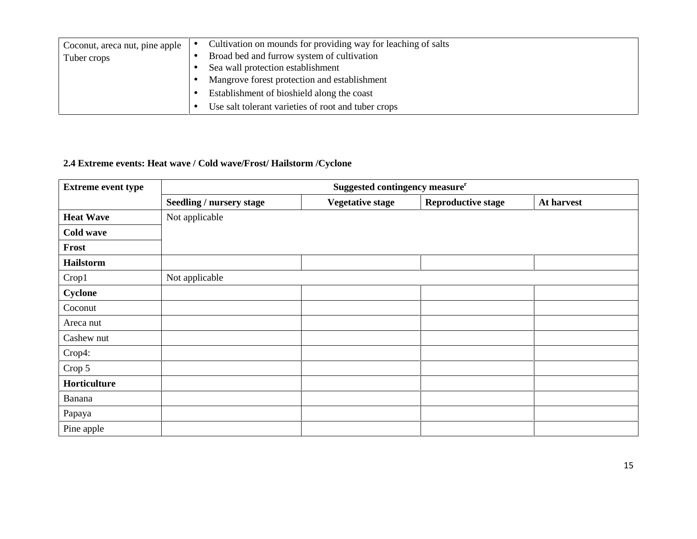| Coconut, areca nut, pine apple | Cultivation on mounds for providing way for leaching of salts |
|--------------------------------|---------------------------------------------------------------|
| Tuber crops                    | Broad bed and furrow system of cultivation                    |
|                                | Sea wall protection establishment                             |
|                                | Mangrove forest protection and establishment                  |
|                                | Establishment of bioshield along the coast                    |
|                                | Use salt tolerant varieties of root and tuber crops           |

### **2.4 Extreme events: Heat wave / Cold wave/Frost/ Hailstorm /Cyclone**

| <b>Extreme event type</b> | Suggested contingency measure <sup>r</sup> |                         |                           |            |  |  |
|---------------------------|--------------------------------------------|-------------------------|---------------------------|------------|--|--|
|                           | <b>Seedling / nursery stage</b>            | <b>Vegetative stage</b> | <b>Reproductive stage</b> | At harvest |  |  |
| <b>Heat Wave</b>          | Not applicable                             |                         |                           |            |  |  |
| <b>Cold wave</b>          |                                            |                         |                           |            |  |  |
| Frost                     |                                            |                         |                           |            |  |  |
| <b>Hailstorm</b>          |                                            |                         |                           |            |  |  |
| Crop1                     | Not applicable                             |                         |                           |            |  |  |
| <b>Cyclone</b>            |                                            |                         |                           |            |  |  |
| Coconut                   |                                            |                         |                           |            |  |  |
| Areca nut                 |                                            |                         |                           |            |  |  |
| Cashew nut                |                                            |                         |                           |            |  |  |
| Crop4:                    |                                            |                         |                           |            |  |  |
| Crop 5                    |                                            |                         |                           |            |  |  |
| Horticulture              |                                            |                         |                           |            |  |  |
| Banana                    |                                            |                         |                           |            |  |  |
| Papaya                    |                                            |                         |                           |            |  |  |
| Pine apple                |                                            |                         |                           |            |  |  |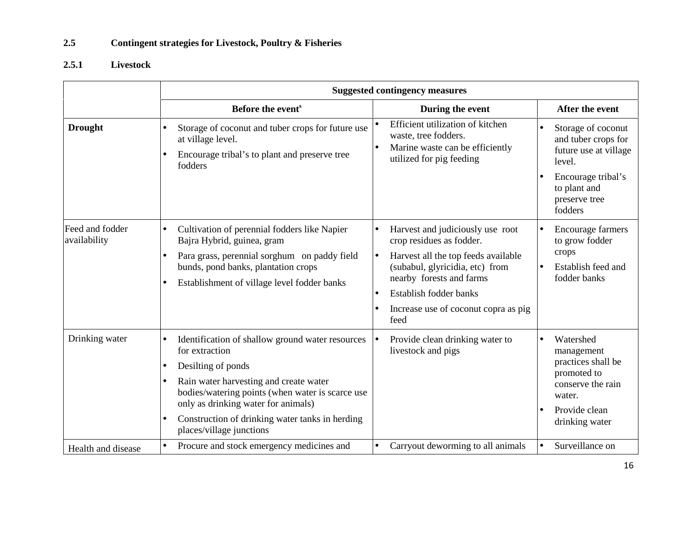#### **2.5 Contingent strategies for Livestock, Poultry & Fisheries**

### **2.5.1 Livestock**

|                                 | <b>Suggested contingency measures</b>                                                                                                                                                                                                                                                                                  |                                                                                                                                                                                                                                              |                                                                                                                                                |  |
|---------------------------------|------------------------------------------------------------------------------------------------------------------------------------------------------------------------------------------------------------------------------------------------------------------------------------------------------------------------|----------------------------------------------------------------------------------------------------------------------------------------------------------------------------------------------------------------------------------------------|------------------------------------------------------------------------------------------------------------------------------------------------|--|
|                                 | Before the event <sup>s</sup>                                                                                                                                                                                                                                                                                          | During the event                                                                                                                                                                                                                             | After the event                                                                                                                                |  |
| <b>Drought</b>                  | Storage of coconut and tuber crops for future use<br>at village level.<br>Encourage tribal's to plant and preserve tree<br>fodders                                                                                                                                                                                     | Efficient utilization of kitchen<br>waste, tree fodders.<br>Marine waste can be efficiently<br>utilized for pig feeding                                                                                                                      | Storage of coconut<br>and tuber crops for<br>future use at village<br>level.<br>Encourage tribal's<br>to plant and<br>preserve tree<br>fodders |  |
| Feed and fodder<br>availability | Cultivation of perennial fodders like Napier<br>Bajra Hybrid, guinea, gram<br>Para grass, perennial sorghum on paddy field<br>bunds, pond banks, plantation crops<br>Establishment of village level fodder banks<br>$\bullet$                                                                                          | Harvest and judiciously use root<br>crop residues as fodder.<br>Harvest all the top feeds available<br>(subabul, glyricidia, etc) from<br>nearby forests and farms<br>Establish fodder banks<br>Increase use of coconut copra as pig<br>feed | Encourage farmers<br>to grow fodder<br>crops<br>Establish feed and<br>fodder banks                                                             |  |
| Drinking water                  | Identification of shallow ground water resources<br>for extraction<br>Desilting of ponds<br>٠<br>Rain water harvesting and create water<br>bodies/watering points (when water is scarce use<br>only as drinking water for animals)<br>Construction of drinking water tanks in herding<br>٠<br>places/village junctions | Provide clean drinking water to<br>livestock and pigs                                                                                                                                                                                        | Watershed<br>management<br>practices shall be<br>promoted to<br>conserve the rain<br>water.<br>Provide clean<br>drinking water                 |  |
| Health and disease              | Procure and stock emergency medicines and<br>$\bullet$                                                                                                                                                                                                                                                                 | Carryout deworming to all animals                                                                                                                                                                                                            | Surveillance on<br>$\bullet$                                                                                                                   |  |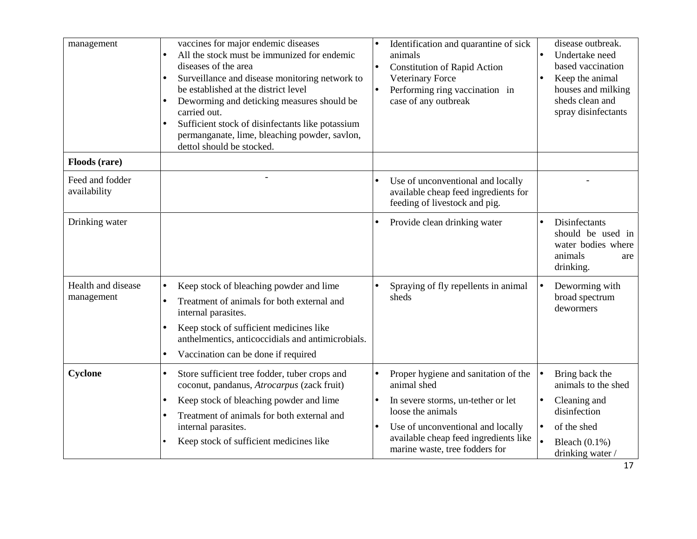| management                       | vaccines for major endemic diseases<br>All the stock must be immunized for endemic<br>$\bullet$<br>diseases of the area<br>Surveillance and disease monitoring network to<br>be established at the district level<br>Deworming and deticking measures should be<br>carried out.<br>Sufficient stock of disinfectants like potassium<br>permanganate, lime, bleaching powder, savlon,<br>dettol should be stocked. | disease outbreak.<br>Identification and quarantine of sick<br>Undertake need<br>animals<br>$\bullet$<br>based vaccination<br><b>Constitution of Rapid Action</b><br>Veterinary Force<br>Keep the animal<br>houses and milking<br>Performing ring vaccination in<br>sheds clean and<br>case of any outbreak<br>spray disinfectants                            |
|----------------------------------|-------------------------------------------------------------------------------------------------------------------------------------------------------------------------------------------------------------------------------------------------------------------------------------------------------------------------------------------------------------------------------------------------------------------|--------------------------------------------------------------------------------------------------------------------------------------------------------------------------------------------------------------------------------------------------------------------------------------------------------------------------------------------------------------|
| Floods (rare)                    |                                                                                                                                                                                                                                                                                                                                                                                                                   |                                                                                                                                                                                                                                                                                                                                                              |
| Feed and fodder<br>availability  |                                                                                                                                                                                                                                                                                                                                                                                                                   | Use of unconventional and locally<br>available cheap feed ingredients for<br>feeding of livestock and pig.                                                                                                                                                                                                                                                   |
| Drinking water                   |                                                                                                                                                                                                                                                                                                                                                                                                                   | <b>Disinfectants</b><br>Provide clean drinking water<br>should be used in<br>water bodies where<br>animals<br>are<br>drinking.                                                                                                                                                                                                                               |
| Health and disease<br>management | Keep stock of bleaching powder and lime<br>$\bullet$<br>Treatment of animals for both external and<br>internal parasites.<br>Keep stock of sufficient medicines like<br>$\bullet$<br>anthelmentics, anticoccidials and antimicrobials.<br>Vaccination can be done if required<br>$\bullet$                                                                                                                        | Spraying of fly repellents in animal<br>Deworming with<br>broad spectrum<br>sheds<br>dewormers                                                                                                                                                                                                                                                               |
| Cyclone                          | Store sufficient tree fodder, tuber crops and<br>$\bullet$<br>coconut, pandanus, Atrocarpus (zack fruit)<br>Keep stock of bleaching powder and lime<br>Treatment of animals for both external and<br>internal parasites.<br>Keep stock of sufficient medicines like                                                                                                                                               | Proper hygiene and sanitation of the<br>Bring back the<br>animal shed<br>animals to the shed<br>Cleaning and<br>In severe storms, un-tether or let<br>disinfection<br>loose the animals<br>Use of unconventional and locally<br>of the shed<br>available cheap feed ingredients like<br>Bleach $(0.1\%)$<br>marine waste, tree fodders for<br>drinking water |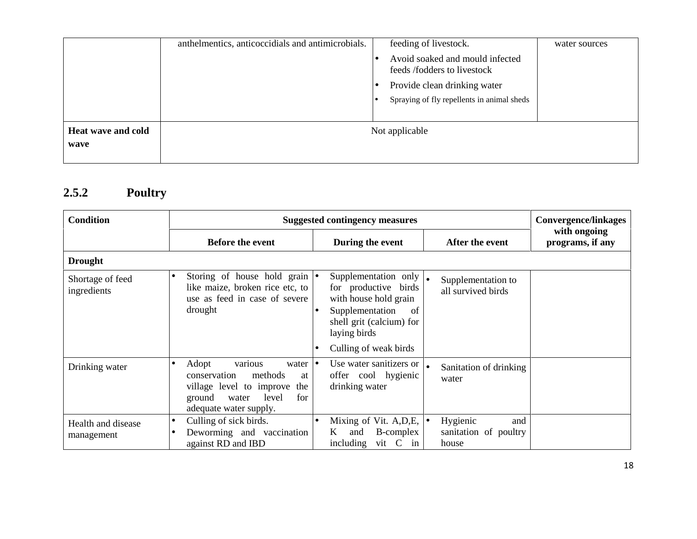|                    | anthelmentics, anticoccidials and antimicrobials. | feeding of livestock.                                          | water sources |
|--------------------|---------------------------------------------------|----------------------------------------------------------------|---------------|
|                    |                                                   | Avoid soaked and mould infected<br>feeds /fodders to livestock |               |
|                    |                                                   | Provide clean drinking water                                   |               |
|                    |                                                   | Spraying of fly repellents in animal sheds                     |               |
|                    |                                                   |                                                                |               |
| Heat wave and cold |                                                   | Not applicable                                                 |               |
| wave               |                                                   |                                                                |               |
|                    |                                                   |                                                                |               |

# **2.5.2 Poultry**

| <b>Condition</b>                 | <b>Suggested contingency measures</b>                                                                                                                            |                                                                                                                                                              |                                                   | <b>Convergence/linkages</b>      |
|----------------------------------|------------------------------------------------------------------------------------------------------------------------------------------------------------------|--------------------------------------------------------------------------------------------------------------------------------------------------------------|---------------------------------------------------|----------------------------------|
|                                  | <b>Before the event</b>                                                                                                                                          | During the event                                                                                                                                             | After the event                                   | with ongoing<br>programs, if any |
| <b>Drought</b>                   |                                                                                                                                                                  |                                                                                                                                                              |                                                   |                                  |
| Shortage of feed<br>ingredients  | Storing of house hold grain $\bullet$<br>like maize, broken rice etc, to<br>use as feed in case of severe<br>drought                                             | Supplementation only $\vert_{\bullet}$<br>for productive birds<br>with house hold grain<br>Supplementation<br>of<br>shell grit (calcium) for<br>laying birds | Supplementation to<br>all survived birds          |                                  |
|                                  |                                                                                                                                                                  | Culling of weak birds                                                                                                                                        |                                                   |                                  |
| Drinking water                   | various<br>Adopt<br>water<br> ●<br>conservation<br>methods<br>at<br>village level to improve<br>the<br>for<br>ground<br>level<br>water<br>adequate water supply. | Use water sanitizers or<br>offer cool hygienic<br>drinking water                                                                                             | Sanitation of drinking<br>water                   |                                  |
| Health and disease<br>management | Culling of sick birds.<br>$\bullet$<br>Deworming and vaccination<br>against RD and IBD                                                                           | Mixing of Vit. A, D, E, $\bullet$<br>B-complex<br>K<br>and<br>vit C<br>including<br>in                                                                       | Hygienic<br>and<br>sanitation of poultry<br>house |                                  |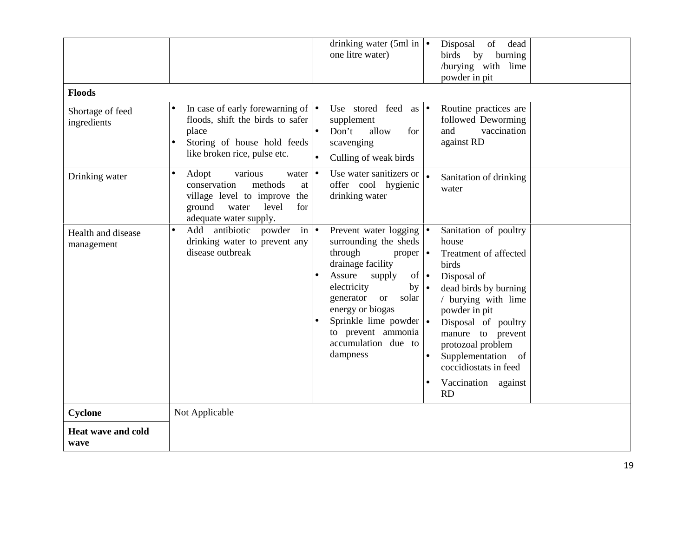| <b>Floods</b><br>Shortage of feed<br>ingredients | drinking water (5ml in $\bullet$<br>Disposal<br>of<br>dead<br>one litre water)<br>birds by<br>burning<br>/burying with lime<br>powder in pit<br>In case of early forewarning of $  \bullet  $<br>Use stored feed as $\bullet$<br>Routine practices are<br>$\bullet$<br>floods, shift the birds to safer<br>supplement<br>followed Deworming<br>vaccination<br>place<br>Don't<br>and<br>allow<br>for                                                                                                                                                                                                                                                                                                                                                                                      |
|--------------------------------------------------|------------------------------------------------------------------------------------------------------------------------------------------------------------------------------------------------------------------------------------------------------------------------------------------------------------------------------------------------------------------------------------------------------------------------------------------------------------------------------------------------------------------------------------------------------------------------------------------------------------------------------------------------------------------------------------------------------------------------------------------------------------------------------------------|
|                                                  | against RD<br>Storing of house hold feeds<br>scavenging<br>$\bullet$<br>like broken rice, pulse etc.<br>Culling of weak birds                                                                                                                                                                                                                                                                                                                                                                                                                                                                                                                                                                                                                                                            |
| Drinking water                                   | various<br>Use water sanitizers or $\vert_{\bullet}$<br>Adopt<br>water $\bullet$<br>$\bullet$<br>Sanitation of drinking<br>methods<br>offer cool hygienic<br>conservation<br>$\operatorname{at}$<br>water<br>drinking water<br>village level to improve<br>the<br>ground<br>level<br>for<br>water<br>adequate water supply.                                                                                                                                                                                                                                                                                                                                                                                                                                                              |
| Health and disease<br>management                 | Add antibiotic powder<br>Sanitation of poultry<br>$\overline{\text{in}}$ $\bullet$<br>Prevent water logging $\bullet$<br>$\bullet$<br>drinking water to prevent any<br>surrounding the sheds<br>house<br>disease outbreak<br>through<br>proper $\bullet$<br>Treatment of affected<br>drainage facility<br>birds<br>Assure<br>of $\bullet$<br>supply<br>Disposal of<br>electricity<br>$by \mid \bullet$<br>dead birds by burning<br>generator<br>solar<br><b>or</b><br>/ burying with lime<br>energy or biogas<br>powder in pit<br>Sprinkle lime powder $\cdot$<br>Disposal of poultry<br>to prevent ammonia<br>manure to prevent<br>accumulation due to<br>protozoal problem<br>dampness<br>Supplementation of<br>$\bullet$<br>coccidiostats in feed<br>Vaccination against<br><b>RD</b> |
| Cyclone                                          | Not Applicable                                                                                                                                                                                                                                                                                                                                                                                                                                                                                                                                                                                                                                                                                                                                                                           |
| <b>Heat wave and cold</b><br>wave                |                                                                                                                                                                                                                                                                                                                                                                                                                                                                                                                                                                                                                                                                                                                                                                                          |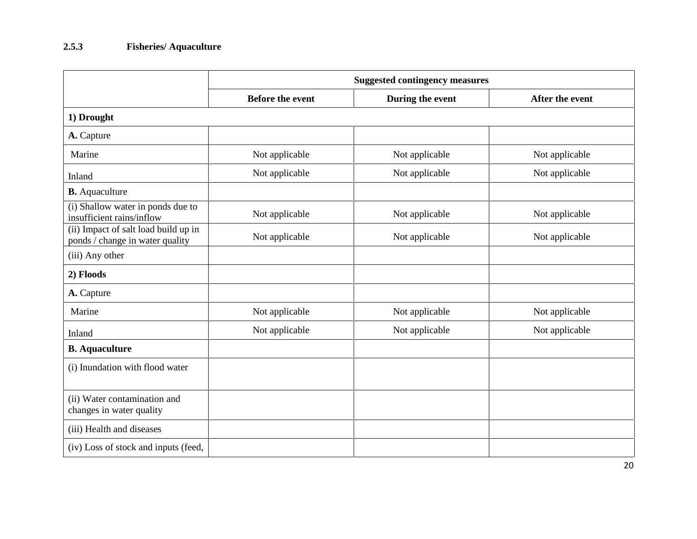#### **2.5.3 Fisheries/ Aquaculture**

|                                                                         | <b>Suggested contingency measures</b> |                  |                 |  |
|-------------------------------------------------------------------------|---------------------------------------|------------------|-----------------|--|
|                                                                         | <b>Before the event</b>               | During the event | After the event |  |
| 1) Drought                                                              |                                       |                  |                 |  |
| A. Capture                                                              |                                       |                  |                 |  |
| Marine                                                                  | Not applicable                        | Not applicable   | Not applicable  |  |
| Inland                                                                  | Not applicable                        | Not applicable   | Not applicable  |  |
| <b>B.</b> Aquaculture                                                   |                                       |                  |                 |  |
| (i) Shallow water in ponds due to<br>insufficient rains/inflow          | Not applicable                        | Not applicable   | Not applicable  |  |
| (ii) Impact of salt load build up in<br>ponds / change in water quality | Not applicable                        | Not applicable   | Not applicable  |  |
| (iii) Any other                                                         |                                       |                  |                 |  |
| 2) Floods                                                               |                                       |                  |                 |  |
| A. Capture                                                              |                                       |                  |                 |  |
| Marine                                                                  | Not applicable                        | Not applicable   | Not applicable  |  |
| Inland                                                                  | Not applicable                        | Not applicable   | Not applicable  |  |
| <b>B.</b> Aquaculture                                                   |                                       |                  |                 |  |
| (i) Inundation with flood water                                         |                                       |                  |                 |  |
|                                                                         |                                       |                  |                 |  |
| (ii) Water contamination and<br>changes in water quality                |                                       |                  |                 |  |
| (iii) Health and diseases                                               |                                       |                  |                 |  |
| (iv) Loss of stock and inputs (feed,                                    |                                       |                  |                 |  |